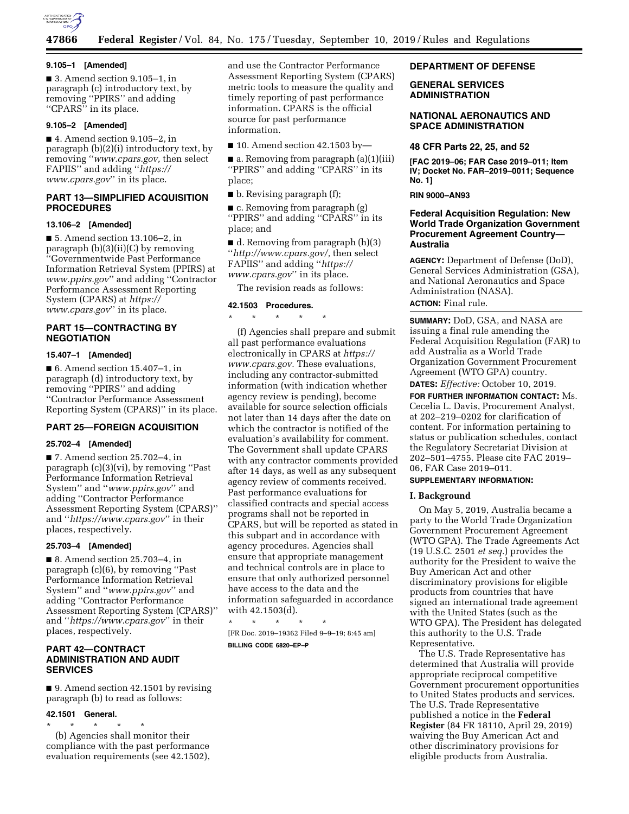

#### **9.105–1 [Amended]**

■ 3. Amend section 9.105–1, in paragraph (c) introductory text, by removing ''PPIRS'' and adding ''CPARS'' in its place.

## **9.105–2 [Amended]**

■ 4. Amend section 9.105–2, in paragraph (b)(2)(i) introductory text, by removing ''*[www.cpars.gov,](http://www.cpars.gov)* then select FAPIIS'' and adding ''*[https://](https://www.cpars.gov) [www.cpars.gov](https://www.cpars.gov)*'' in its place.

# **PART 13—SIMPLIFIED ACQUISITION PROCEDURES**

#### **13.106–2 [Amended]**

■ 5. Amend section 13.106–2, in paragraph (b)(3)(ii)(C) by removing ''Governmentwide Past Performance Information Retrieval System (PPIRS) at *[www.ppirs.gov](http://www.ppirs.gov)*'' and adding ''Contractor Performance Assessment Reporting System (CPARS) at *[https://](https://www.cpars.gov) [www.cpars.gov](https://www.cpars.gov)*'' in its place.

## **PART 15—CONTRACTING BY NEGOTIATION**

## **15.407–1 [Amended]**

■ 6. Amend section 15.407–1, in paragraph (d) introductory text, by removing ''PPIRS'' and adding ''Contractor Performance Assessment Reporting System (CPARS)'' in its place.

# **PART 25—FOREIGN ACQUISITION**

#### **25.702–4 [Amended]**

■ 7. Amend section 25.702–4, in paragraph (c)(3)(vi), by removing ''Past Performance Information Retrieval System'' and ''*[www.ppirs.gov](http://www.ppirs.gov)*'' and adding ''Contractor Performance Assessment Reporting System (CPARS)'' and ''*<https://www.cpars.gov>*'' in their places, respectively.

# **25.703–4 [Amended]**

■ 8. Amend section 25.703-4, in paragraph (c)(6), by removing ''Past Performance Information Retrieval System'' and ''*[www.ppirs.gov](http://www.ppirs.gov)*'' and adding ''Contractor Performance Assessment Reporting System (CPARS)'' and ''*<https://www.cpars.gov>*'' in their places, respectively.

# **PART 42—CONTRACT ADMINISTRATION AND AUDIT SERVICES**

■ 9. Amend section 42.1501 by revising paragraph (b) to read as follows:

#### **42.1501 General.**

\* \* \* \* \* (b) Agencies shall monitor their compliance with the past performance evaluation requirements (see 42.1502), and use the Contractor Performance Assessment Reporting System (CPARS) metric tools to measure the quality and timely reporting of past performance information. CPARS is the official source for past performance information.

 $\blacksquare$  10. Amend section 42.1503 by-

■ a. Removing from paragraph (a)(1)(iii) ''PPIRS'' and adding ''CPARS'' in its place;

■ b. Revising paragraph (f);

■ c. Removing from paragraph (g) ''PPIRS'' and adding ''CPARS'' in its place; and

■ d. Removing from paragraph (h)(3) ''*[http://www.cpars.gov/,](http://www.cpars.gov/)* then select FAPIIS'' and adding ''*[https://](https://www.cpars.gov) [www.cpars.gov](https://www.cpars.gov)*'' in its place.

The revision reads as follows:

## **42.1503 Procedures.**

\* \* \* \* \* (f) Agencies shall prepare and submit all past performance evaluations electronically in CPARS at *[https://](https://www.cpars.gov) [www.cpars.gov.](https://www.cpars.gov)* These evaluations, including any contractor-submitted information (with indication whether agency review is pending), become available for source selection officials not later than 14 days after the date on which the contractor is notified of the evaluation's availability for comment. The Government shall update CPARS with any contractor comments provided after 14 days, as well as any subsequent agency review of comments received. Past performance evaluations for classified contracts and special access programs shall not be reported in CPARS, but will be reported as stated in this subpart and in accordance with agency procedures. Agencies shall ensure that appropriate management and technical controls are in place to ensure that only authorized personnel have access to the data and the information safeguarded in accordance with 42.1503(d).

\* \* \* \* \* [FR Doc. 2019–19362 Filed 9–9–19; 8:45 am] **BILLING CODE 6820–EP–P** 

## **DEPARTMENT OF DEFENSE**

## **GENERAL SERVICES ADMINISTRATION**

## **NATIONAL AERONAUTICS AND SPACE ADMINISTRATION**

### **48 CFR Parts 22, 25, and 52**

**[FAC 2019–06; FAR Case 2019–011; Item IV; Docket No. FAR–2019–0011; Sequence No. 1]** 

## **RIN 9000–AN93**

# **Federal Acquisition Regulation: New World Trade Organization Government Procurement Agreement Country— Australia**

**AGENCY:** Department of Defense (DoD), General Services Administration (GSA), and National Aeronautics and Space Administration (NASA). **ACTION:** Final rule.

**SUMMARY:** DoD, GSA, and NASA are issuing a final rule amending the Federal Acquisition Regulation (FAR) to add Australia as a World Trade Organization Government Procurement Agreement (WTO GPA) country.

**DATES:** *Effective:* October 10, 2019. **FOR FURTHER INFORMATION CONTACT:** Ms.

Cecelia L. Davis, Procurement Analyst, at 202–219–0202 for clarification of content. For information pertaining to status or publication schedules, contact the Regulatory Secretariat Division at 202–501–4755. Please cite FAC 2019– 06, FAR Case 2019–011.

# **SUPPLEMENTARY INFORMATION:**

## **I. Background**

On May 5, 2019, Australia became a party to the World Trade Organization Government Procurement Agreement (WTO GPA). The Trade Agreements Act (19 U.S.C. 2501 *et seq.*) provides the authority for the President to waive the Buy American Act and other discriminatory provisions for eligible products from countries that have signed an international trade agreement with the United States (such as the WTO GPA). The President has delegated this authority to the U.S. Trade Representative.

The U.S. Trade Representative has determined that Australia will provide appropriate reciprocal competitive Government procurement opportunities to United States products and services. The U.S. Trade Representative published a notice in the **Federal Register** (84 FR 18110, April 29, 2019) waiving the Buy American Act and other discriminatory provisions for eligible products from Australia.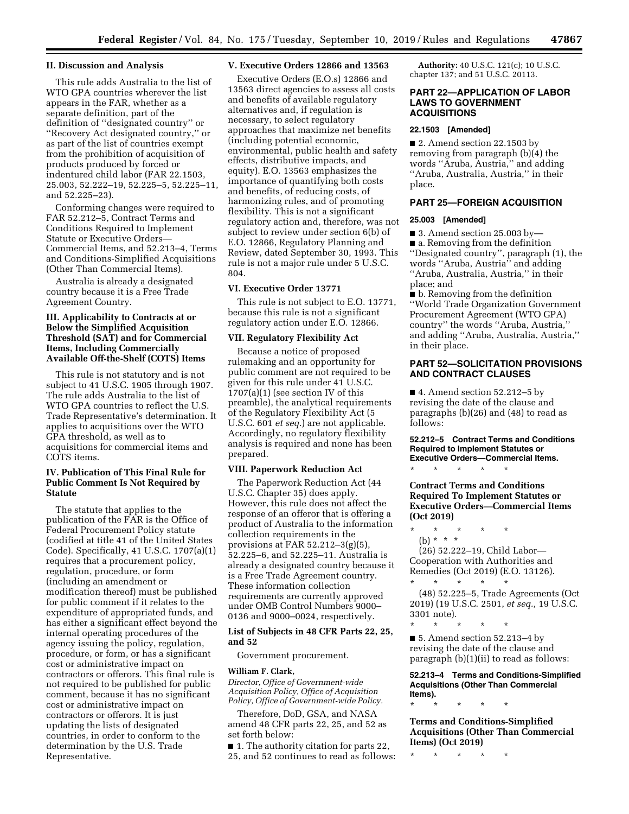#### **II. Discussion and Analysis**

This rule adds Australia to the list of WTO GPA countries wherever the list appears in the FAR, whether as a separate definition, part of the definition of ''designated country'' or ''Recovery Act designated country,'' or as part of the list of countries exempt from the prohibition of acquisition of products produced by forced or indentured child labor (FAR 22.1503, 25.003, 52.222–19, 52.225–5, 52.225–11, and 52.225–23).

Conforming changes were required to FAR 52.212–5, Contract Terms and Conditions Required to Implement Statute or Executive Orders— Commercial Items, and 52.213–4, Terms and Conditions-Simplified Acquisitions (Other Than Commercial Items).

Australia is already a designated country because it is a Free Trade Agreement Country.

## **III. Applicability to Contracts at or Below the Simplified Acquisition Threshold (SAT) and for Commercial Items, Including Commercially Available Off-the-Shelf (COTS) Items**

This rule is not statutory and is not subject to 41 U.S.C. 1905 through 1907. The rule adds Australia to the list of WTO GPA countries to reflect the U.S. Trade Representative's determination. It applies to acquisitions over the WTO GPA threshold, as well as to acquisitions for commercial items and COTS items.

## **IV. Publication of This Final Rule for Public Comment Is Not Required by Statute**

The statute that applies to the publication of the FAR is the Office of Federal Procurement Policy statute (codified at title 41 of the United States Code). Specifically, 41 U.S.C. 1707(a)(1) requires that a procurement policy, regulation, procedure, or form (including an amendment or modification thereof) must be published for public comment if it relates to the expenditure of appropriated funds, and has either a significant effect beyond the internal operating procedures of the agency issuing the policy, regulation, procedure, or form, or has a significant cost or administrative impact on contractors or offerors. This final rule is not required to be published for public comment, because it has no significant cost or administrative impact on contractors or offerors. It is just updating the lists of designated countries, in order to conform to the determination by the U.S. Trade Representative.

## **V. Executive Orders 12866 and 13563**

Executive Orders (E.O.s) 12866 and 13563 direct agencies to assess all costs and benefits of available regulatory alternatives and, if regulation is necessary, to select regulatory approaches that maximize net benefits (including potential economic, environmental, public health and safety effects, distributive impacts, and equity). E.O. 13563 emphasizes the importance of quantifying both costs and benefits, of reducing costs, of harmonizing rules, and of promoting flexibility. This is not a significant regulatory action and, therefore, was not subject to review under section 6(b) of E.O. 12866, Regulatory Planning and Review, dated September 30, 1993. This rule is not a major rule under 5 U.S.C. 804.

## **VI. Executive Order 13771**

This rule is not subject to E.O. 13771, because this rule is not a significant regulatory action under E.O. 12866.

# **VII. Regulatory Flexibility Act**

Because a notice of proposed rulemaking and an opportunity for public comment are not required to be given for this rule under 41 U.S.C. 1707(a)(1) (see section IV of this preamble), the analytical requirements of the Regulatory Flexibility Act (5 U.S.C. 601 *et seq.*) are not applicable. Accordingly, no regulatory flexibility analysis is required and none has been prepared.

## **VIII. Paperwork Reduction Act**

The Paperwork Reduction Act (44 U.S.C. Chapter 35) does apply. However, this rule does not affect the response of an offeror that is offering a product of Australia to the information collection requirements in the provisions at FAR 52.212–3(g)(5), 52.225–6, and 52.225–11. Australia is already a designated country because it is a Free Trade Agreement country. These information collection requirements are currently approved under OMB Control Numbers 9000– 0136 and 9000–0024, respectively.

## **List of Subjects in 48 CFR Parts 22, 25, and 52**

Government procurement.

### **William F. Clark,**

*Director, Office of Government-wide Acquisition Policy, Office of Acquisition Policy, Office of Government-wide Policy.* 

Therefore, DoD, GSA, and NASA amend 48 CFR parts 22, 25, and 52 as set forth below:

■ 1. The authority citation for parts 22, 25, and 52 continues to read as follows:

**Authority:** 40 U.S.C. 121(c); 10 U.S.C. chapter 137; and 51 U.S.C. 20113.

## **PART 22—APPLICATION OF LABOR LAWS TO GOVERNMENT ACQUISITIONS**

# **22.1503 [Amended]**

■ 2. Amend section 22.1503 by removing from paragraph (b)(4) the words ''Aruba, Austria,'' and adding ''Aruba, Australia, Austria,'' in their place.

# **PART 25—FOREIGN ACQUISITION**

#### **25.003 [Amended]**

■ 3. Amend section 25.003 by-■ a. Removing from the definition ''Designated country'', paragraph (1), the words ''Aruba, Austria'' and adding ''Aruba, Australia, Austria,'' in their place; and

■ b. Removing from the definition ''World Trade Organization Government Procurement Agreement (WTO GPA) country'' the words ''Aruba, Austria,'' and adding ''Aruba, Australia, Austria,'' in their place.

# **PART 52—SOLICITATION PROVISIONS AND CONTRACT CLAUSES**

 $\blacksquare$  4. Amend section 52.212–5 by revising the date of the clause and paragraphs (b)(26) and (48) to read as follows:

#### **52.212–5 Contract Terms and Conditions Required to Implement Statutes or Executive Orders—Commercial Items.**

\* \* \* \* \*

## **Contract Terms and Conditions Required To Implement Statutes or Executive Orders—Commercial Items (Oct 2019)**

\* \* \* \* \* (b) \* \* \* (26) 52.222–19, Child Labor—

Cooperation with Authorities and Remedies (Oct 2019) (E.O. 13126).

\* \* \* \* \* (48) 52.225–5, Trade Agreements (Oct 2019) (19 U.S.C. 2501, *et seq.,* 19 U.S.C. 3301 note).

\* \* \* \* \* ■ 5. Amend section 52.213–4 by revising the date of the clause and paragraph (b)(1)(ii) to read as follows:

**52.213–4 Terms and Conditions-Simplified Acquisitions (Other Than Commercial Items).** 

\* \* \* \* \* **Terms and Conditions-Simplified Acquisitions (Other Than Commercial** 

\* \* \* \* \*

**Items) (Oct 2019)**